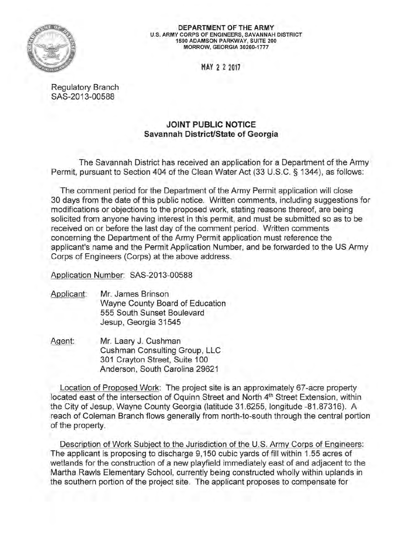

DEPARTMENT OF THE ARMY U.S. ARMY CORPS OF ENGINEERS, SAVANNAH DISTRICT 1590 ADAMSON PARKWAY, SUITE 200 MORROW, GEORGIA 30260-1777

MAY 2 2 2017

Regulatory Branch SAS-2013-00588

## JOINT PUBLIC NOTICE Savannah District/State of Georgia

The Savannah District has received an application for a Department of the Army Permit, pursuant to Section 404 of the Clean Water Act (33 U.S.C. § 1344), as follows:

The comment period for the Department of the Army Permit application will close 30 days from the date of this public notice. Written comments, including suggestions for modifications or objections to the proposed work, stating reasons thereof, are being solicited from anyone having interest in this permit, and must be submitted so as to be received on or before the last day of the comment period. Written comments concerning the Department of the Army Permit application must reference the applicant's name and the Permit Application Number, and be forwarded to the US Army Corps of Engineers (Corps) at the above address.

Application Number: SAS-2013-00588

- Applicant: Mr. James Brinson Wayne County Board of Education 555 South Sunset Boulevard Jesup, Georgia 31545
- Agent: Mr. Laary J. Cushman Cushman Consulting Group, LLC 301 Crayton Street, Suite 100 Anderson, South Carolina 29621

Location of Proposed Work: The project site is an approximately 67-acre property located east of the intersection of Oquinn Street and North 4<sup>th</sup> Street Extension, within the City of Jesup, Wayne County Georgia (latitude 31.6255, longitude -81.87316). A reach of Coleman Branch flows generally from north-to-south through the central portion of the property.

Description of Work Subject to the Jurisdiction of the U.S. Army Corps of Engineers: The applicant is proposing to discharge 9, 150 cubic yards of fill within 1.55 acres of wetlands for the construction of a new playfield immediately east of and adjacent to the Martha Rawls Elementary School, currently being constructed wholly within uplands in the southern portion of the project site. The applicant proposes to compensate for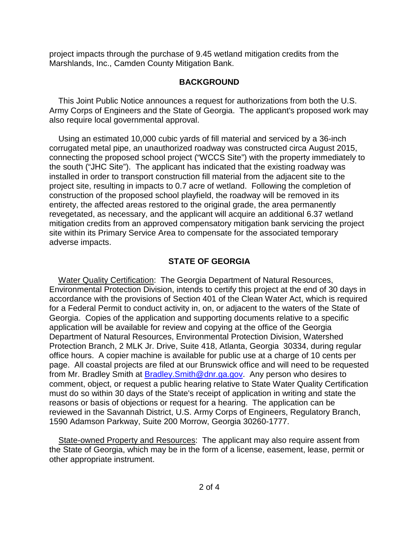project impacts through the purchase of 9.45 wetland mitigation credits from the Marshlands, Inc., Camden County Mitigation Bank.

## **BACKGROUND**

 Army Corps of Engineers and the State of Georgia. The applicant's proposed work may This Joint Public Notice announces a request for authorizations from both the U.S. also require local governmental approval.

 corrugated metal pipe, an unauthorized roadway was constructed circa August 2015, installed in order to transport construction fill material from the adjacent site to the mitigation credits from an approved compensatory mitigation bank servicing the project Using an estimated 10,000 cubic yards of fill material and serviced by a 36-inch connecting the proposed school project ("WCCS Site") with the property immediately to the south ("JHC Site"). The applicant has indicated that the existing roadway was project site, resulting in impacts to 0.7 acre of wetland. Following the completion of construction of the proposed school playfield, the roadway will be removed in its entirety, the affected areas restored to the original grade, the area permanently revegetated, as necessary, and the applicant will acquire an additional 6.37 wetland site within its Primary Service Area to compensate for the associated temporary adverse impacts.

## **STATE OF GEORGIA**

 accordance with the provisions of Section 401 of the Clean Water Act, which is required for a Federal Permit to conduct activity in, on, or adjacent to the waters of the State of office hours. A copier machine is available for public use at a charge of 10 cents per reasons or basis of objections or request for a hearing. The application can be Water Quality Certification: The Georgia Department of Natural Resources, Environmental Protection Division, intends to certify this project at the end of 30 days in Georgia. Copies of the application and supporting documents relative to a specific application will be available for review and copying at the office of the Georgia Department of Natural Resources, Environmental Protection Division, Watershed Protection Branch, 2 MLK Jr. Drive, Suite 418, Atlanta, Georgia 30334, during regular page. All coastal projects are filed at our Brunswick office and will need to be requested from Mr. Bradley Smith at Bradley.Smith@dnr.ga.gov. Any person who desires to comment, object, or request a public hearing relative to State Water Quality Certification must do so within 30 days of the State's receipt of application in writing and state the reviewed in the Savannah District, U.S. Army Corps of Engineers, Regulatory Branch, 1590 Adamson Parkway, Suite 200 Morrow, Georgia 30260-1777.

State-owned Property and Resources: The applicant may also require assent from the State of Georgia, which may be in the form of a license, easement, lease, permit or other appropriate instrument.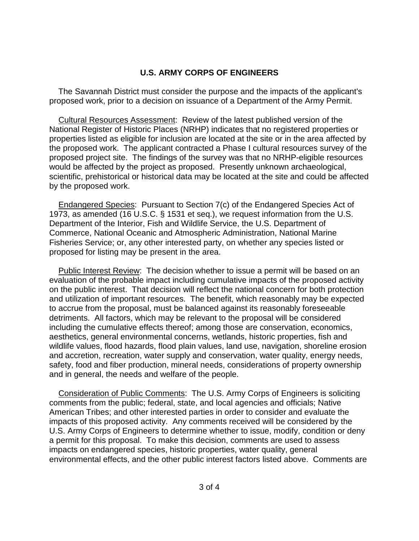## **U.S. ARMY CORPS OF ENGINEERS**

The Savannah District must consider the purpose and the impacts of the applicant's proposed work, prior to a decision on issuance of a Department of the Army Permit.

 the proposed work. The applicant contracted a Phase I cultural resources survey of the proposed project site. The findings of the survey was that no NRHP-eligible resources Cultural Resources Assessment: Review of the latest published version of the National Register of Historic Places (NRHP) indicates that no registered properties or properties listed as eligible for inclusion are located at the site or in the area affected by would be affected by the project as proposed. Presently unknown archaeological, scientific, prehistorical or historical data may be located at the site and could be affected by the proposed work.

 1973, as amended (16 U.S.C. § 1531 et seq.), we request information from the U.S. Department of the Interior, Fish and Wildlife Service, the U.S. Department of Endangered Species: Pursuant to Section 7(c) of the Endangered Species Act of Commerce, National Oceanic and Atmospheric Administration, National Marine Fisheries Service; or, any other interested party, on whether any species listed or proposed for listing may be present in the area.

 evaluation of the probable impact including cumulative impacts of the proposed activity on the public interest. That decision will reflect the national concern for both protection and utilization of important resources. The benefit, which reasonably may be expected aesthetics, general environmental concerns, wetlands, historic properties, fish and safety, food and fiber production, mineral needs, considerations of property ownership Public Interest Review: The decision whether to issue a permit will be based on an to accrue from the proposal, must be balanced against its reasonably foreseeable detriments. All factors, which may be relevant to the proposal will be considered including the cumulative effects thereof; among those are conservation, economics, wildlife values, flood hazards, flood plain values, land use, navigation, shoreline erosion and accretion, recreation, water supply and conservation, water quality, energy needs, and in general, the needs and welfare of the people.

 American Tribes; and other interested parties in order to consider and evaluate the a permit for this proposal. To make this decision, comments are used to assess Consideration of Public Comments: The U.S. Army Corps of Engineers is soliciting comments from the public; federal, state, and local agencies and officials; Native impacts of this proposed activity. Any comments received will be considered by the U.S. Army Corps of Engineers to determine whether to issue, modify, condition or deny impacts on endangered species, historic properties, water quality, general environmental effects, and the other public interest factors listed above. Comments are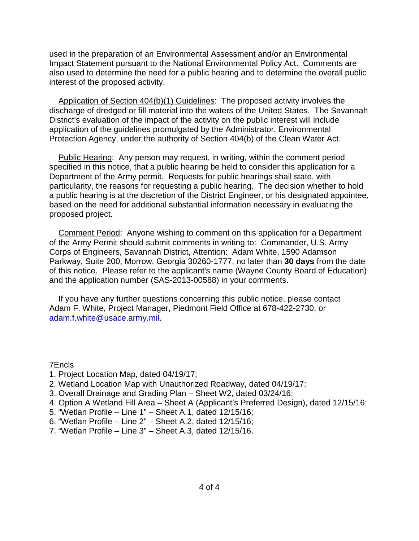used in the preparation of an Environmental Assessment and/or an Environmental Impact Statement pursuant to the National Environmental Policy Act. Comments are also used to determine the need for a public hearing and to determine the overall public interest of the proposed activity.

 discharge of dredged or fill material into the waters of the United States. The Savannah Application of Section 404(b)(1) Guidelines: The proposed activity involves the District's evaluation of the impact of the activity on the public interest will include application of the guidelines promulgated by the Administrator, Environmental Protection Agency, under the authority of Section 404(b) of the Clean Water Act.

 Department of the Army permit. Requests for public hearings shall state, with particularity, the reasons for requesting a public hearing. The decision whether to hold based on the need for additional substantial information necessary in evaluating the Public Hearing: Any person may request, in writing, within the comment period specified in this notice, that a public hearing be held to consider this application for a a public hearing is at the discretion of the District Engineer, or his designated appointee, proposed project.

 of the Army Permit should submit comments in writing to: Commander, U.S. Army of this notice. Please refer to the applicant's name (Wayne County Board of Education) Comment Period: Anyone wishing to comment on this application for a Department Corps of Engineers, Savannah District, Attention: Adam White, 1590 Adamson Parkway, Suite 200, Morrow, Georgia 30260-1777, no later than **30 days** from the date and the application number (SAS-2013-00588) in your comments.

If you have any further questions concerning this public notice, please contact Adam F. White, Project Manager, Piedmont Field Office at 678-422-2730, or adam.f.white@usace.army.mil.

7Encls

- 1. Project Location Map, dated 04/19/17;
- 2. Wetland Location Map with Unauthorized Roadway, dated 04/19/17;
- 3. Overall Drainage and Grading Plan Sheet W2, dated 03/24/16;
- 4. Option A Wetland Fill Area Sheet A (Applicant's Preferred Design), dated 12/15/16;<br>5. "Wetlan Profile Line 1" Sheet A.1, dated 12/15/16;
- 5. "Wetlan Profile Line 1" Sheet A.1, dated 12/15/16;
- 6. "Wetlan Profile Line 2" Sheet A.2, dated 12/15/16;
- 7. "Wetlan Profile Line 3" Sheet A.3, dated 12/15/16.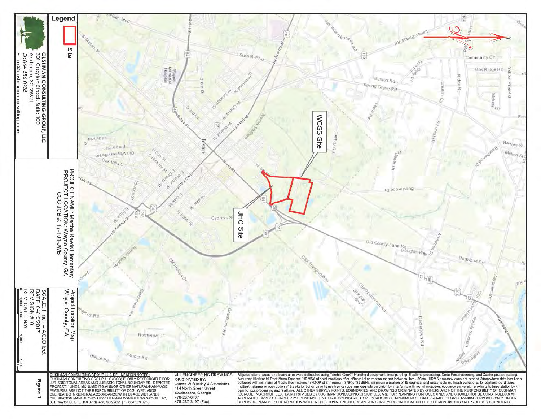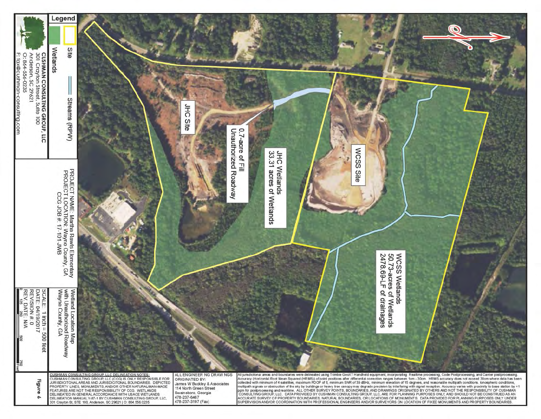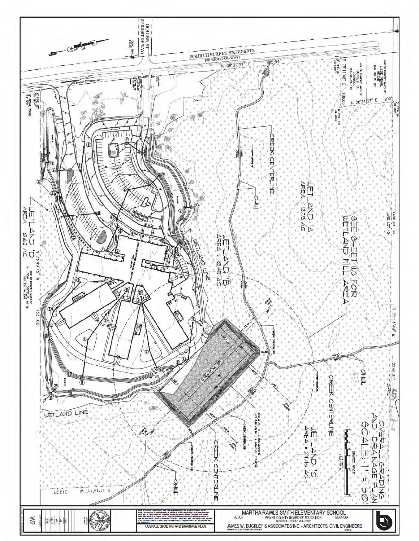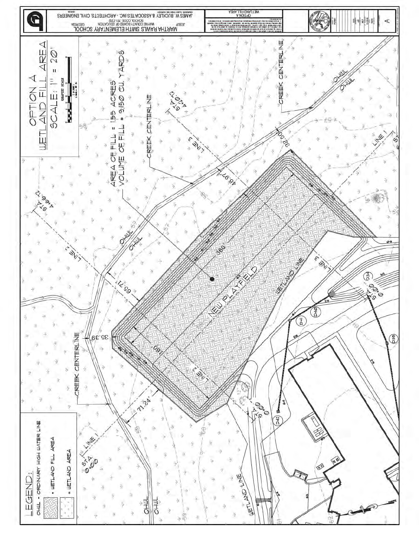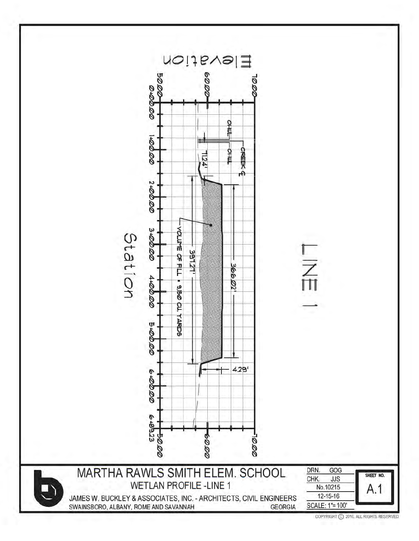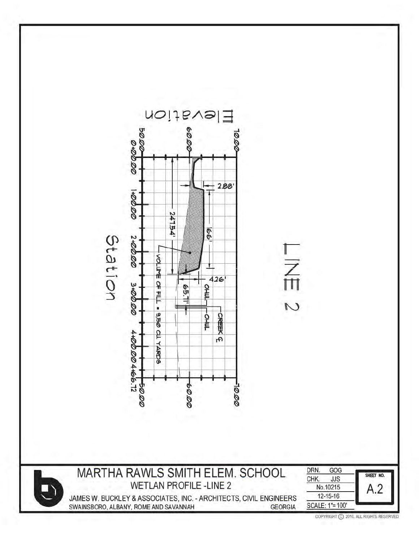